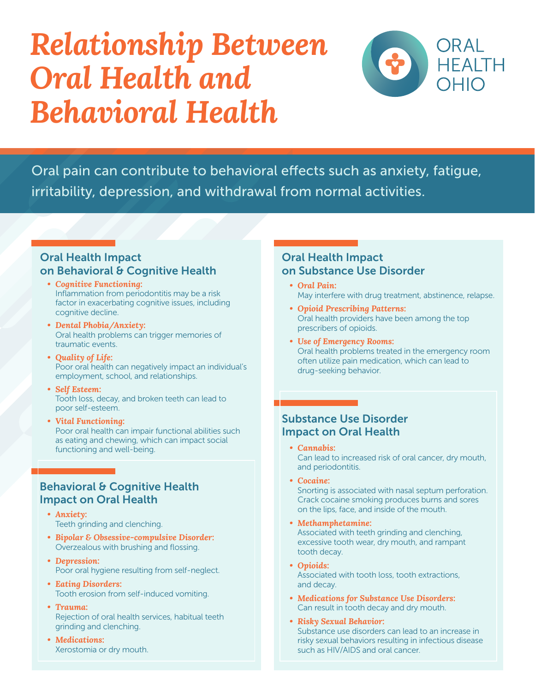# *Relationship Between Oral Health and Behavioral Health*



Oral pain can contribute to behavioral effects such as anxiety, fatigue, irritability, depression, and withdrawal from normal activities.

### Oral Health Impact on Behavioral & Cognitive Health

- *• Cognitive Functioning:*  Inflammation from periodontitis may be a risk factor in exacerbating cognitive issues, including cognitive decline.
- *• Dental Phobia/Anxiety:* Oral health problems can trigger memories of traumatic events.
- *• Quality of Life:* Poor oral health can negatively impact an individual's employment, school, and relationships.
- *• Self Esteem:* Tooth loss, decay, and broken teeth can lead to poor self-esteem.
- *• Vital Functioning:* Poor oral health can impair functional abilities such as eating and chewing, which can impact social functioning and well-being.

### Behavioral & Cognitive Health Impact on Oral Health

- *• Anxiety:*  Teeth grinding and clenching.
- *• Bipolar & Obsessive-compulsive Disorder:* Overzealous with brushing and flossing.
- *• Depression:* Poor oral hygiene resulting from self-neglect.
- *• Eating Disorders:* Tooth erosion from self-induced vomiting.
- *• Trauma:* Rejection of oral health services, habitual teeth grinding and clenching.
- *• Medications:* Xerostomia or dry mouth.

### Oral Health Impact on Substance Use Disorder

- *• Oral Pain:*  May interfere with drug treatment, abstinence, relapse.
- *• Opioid Prescribing Patterns:* Oral health providers have been among the top prescribers of opioids.
- *• Use of Emergency Rooms:* Oral health problems treated in the emergency room often utilize pain medication, which can lead to drug-seeking behavior.

### Substance Use Disorder Impact on Oral Health

- *• Cannabis:*  Can lead to increased risk of oral cancer, dry mouth, and periodontitis.
- *• Cocaine:*

Snorting is associated with nasal septum perforation. Crack cocaine smoking produces burns and sores on the lips, face, and inside of the mouth.

- *• Methamphetamine:* Associated with teeth grinding and clenching, excessive tooth wear, dry mouth, and rampant tooth decay.
- *• Opioids:* Associated with tooth loss, tooth extractions, and decay.
- *• Medications for Substance Use Disorders:* Can result in tooth decay and dry mouth.
- *• Risky Sexual Behavior:* Substance use disorders can lead to an increase in risky sexual behaviors resulting in infectious disease such as HIV/AIDS and oral cancer.